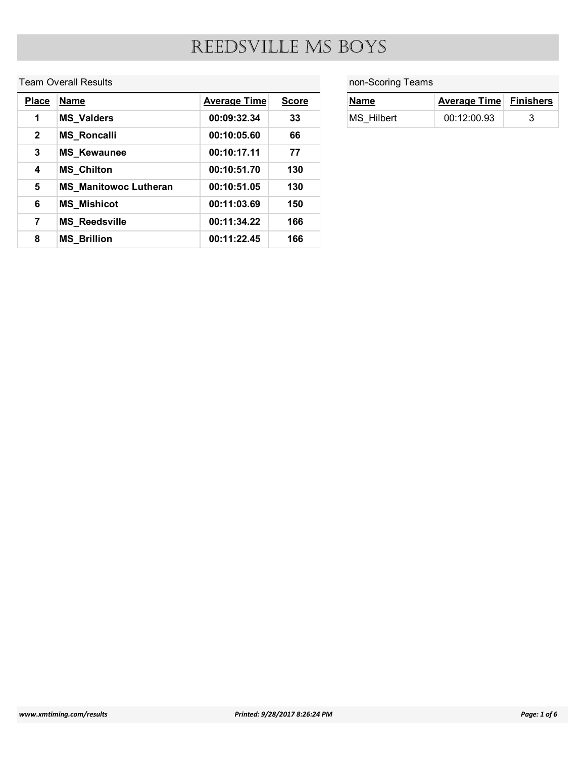#### Team Overall Results

|                              |                              | REEDSVILLE MS BOYS  |              |                   |                     |                  |
|------------------------------|------------------------------|---------------------|--------------|-------------------|---------------------|------------------|
|                              |                              |                     |              |                   |                     |                  |
|                              | <b>Team Overall Results</b>  |                     |              | non-Scoring Teams |                     |                  |
|                              | <b>Name</b>                  | <b>Average Time</b> | <b>Score</b> | <b>Name</b>       | <b>Average Time</b> | <b>Finishers</b> |
| $\mathbf 1$                  | <b>MS_Valders</b>            | 00:09:32.34         | 33           | MS_Hilbert        | 00:12:00.93         | 3                |
| $\mathbf{2}$                 | <b>MS_Roncalli</b>           | 00:10:05.60         | 66           |                   |                     |                  |
| <b>Place</b><br>$\mathbf{3}$ | <b>MS_Kewaunee</b>           | 00:10:17.11         | 77           |                   |                     |                  |
| $\overline{\mathbf{4}}$      | <b>MS_Chilton</b>            | 00:10:51.70         | 130          |                   |                     |                  |
| $5\phantom{.0}$              | <b>MS_Manitowoc Lutheran</b> | 00:10:51.05         | 130          |                   |                     |                  |
| $6\phantom{a}$               | <b>MS_Mishicot</b>           | 00:11:03.69         | 150          |                   |                     |                  |
| $\overline{7}$               | <b>MS_Reedsville</b>         | 00:11:34.22         | 166          |                   |                     |                  |

| non-Scoring Teams  |                     |                  |
|--------------------|---------------------|------------------|
| <b>Name</b>        | <b>Average Time</b> | <b>Finishers</b> |
| BOYS<br>MS_Hilbert | 00:12:00.93         | $\mathsf 3$      |
|                    |                     |                  |
|                    |                     |                  |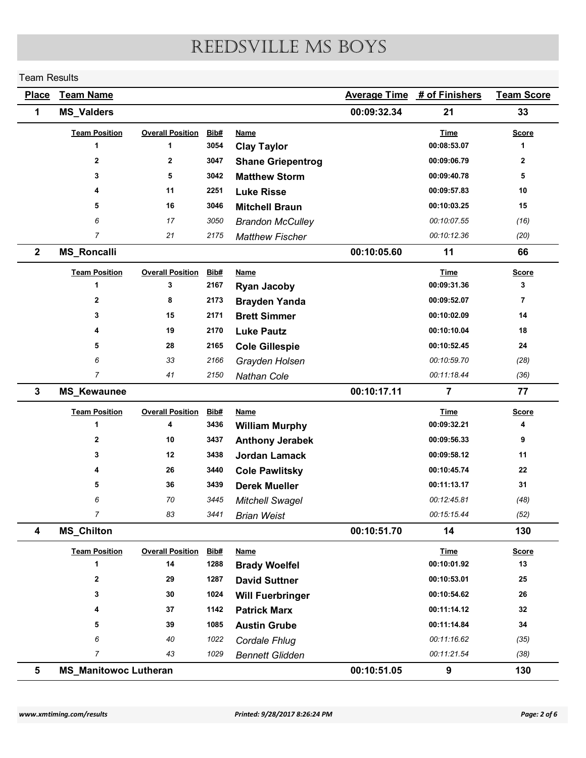#### Team Results

|                |                              |                              |              | REEDSVILLE MS BOYS                         |                     |                            |                     |
|----------------|------------------------------|------------------------------|--------------|--------------------------------------------|---------------------|----------------------------|---------------------|
|                | <b>Team Results</b>          |                              |              |                                            |                     |                            |                     |
| <b>Place</b>   | <b>Team Name</b>             |                              |              |                                            | <b>Average Time</b> | # of Finishers             | <b>Team Score</b>   |
| $\mathbf 1$    | <b>MS_Valders</b>            |                              |              |                                            | 00:09:32.34         | 21                         | 33                  |
|                | <b>Team Position</b>         | <b>Overall Position</b>      | Bib#         | <b>Name</b>                                |                     | <b>Time</b>                | <b>Score</b>        |
|                | -1                           | 1                            | 3054         | <b>Clay Taylor</b>                         |                     | 00:08:53.07                | $\mathbf 1$         |
|                | $\mathbf{2}$<br>3            | $\mathbf{2}$<br>5            | 3047<br>3042 | <b>Shane Griepentrog</b>                   |                     | 00:09:06.79<br>00:09:40.78 | $\overline{2}$<br>5 |
|                | 4                            | 11                           | 2251         | <b>Matthew Storm</b><br><b>Luke Risse</b>  |                     | 00:09:57.83                | 10                  |
|                | 5                            | 16                           | 3046         | <b>Mitchell Braun</b>                      |                     | 00:10:03.25                | 15                  |
|                | 6                            | 17                           | 3050         | <b>Brandon McCulley</b>                    |                     | 00:10:07.55                | (16)                |
|                | $\overline{7}$               | 21                           | 2175         | <b>Matthew Fischer</b>                     |                     | 00:10:12.36                | (20)                |
| $\overline{2}$ | <b>MS_Roncalli</b>           |                              |              |                                            | 00:10:05.60         | 11                         | 66                  |
|                | <b>Team Position</b>         | <b>Overall Position</b>      | Bib#         | <b>Name</b>                                |                     | <b>Time</b>                | <b>Score</b>        |
|                | -1                           | 3                            | 2167         | <b>Ryan Jacoby</b>                         |                     | 00:09:31.36                | 3                   |
|                | $\mathbf{2}$                 | 8                            | 2173         | <b>Brayden Yanda</b>                       |                     | 00:09:52.07                | $\overline{7}$      |
|                | 3                            | 15                           | 2171         | <b>Brett Simmer</b>                        |                     | 00:10:02.09                | 14                  |
|                | 4                            | 19                           | 2170         | <b>Luke Pautz</b>                          |                     | 00:10:10.04                | 18                  |
|                | 5                            | 28                           | 2165         | <b>Cole Gillespie</b>                      |                     | 00:10:52.45                | ${\bf 24}$          |
|                | 6<br>$\overline{7}$          | 33                           | 2166         | Grayden Holsen                             |                     | 00:10:59.70<br>00:11:18.44 | (28)                |
| $\mathbf{3}$   | <b>MS_Kewaunee</b>           | 41                           | 2150         | Nathan Cole                                | 00:10:17.11         | $\overline{7}$             | (36)<br>$77$        |
|                |                              |                              |              |                                            |                     |                            |                     |
|                | <b>Team Position</b><br>1    | <b>Overall Position</b><br>4 | Bib#<br>3436 | <b>Name</b><br><b>William Murphy</b>       |                     | <b>Time</b><br>00:09:32.21 | <b>Score</b><br>4   |
|                | $\mathbf{2}$                 | 10                           | 3437         | <b>Anthony Jerabek</b>                     |                     | 00:09:56.33                | 9                   |
|                | 3                            | 12                           | 3438         | <b>Jordan Lamack</b>                       |                     | 00:09:58.12                | 11                  |
|                | 4                            | 26                           | 3440         | <b>Cole Pawlitsky</b>                      |                     | 00:10:45.74                | ${\bf 22}$          |
|                | 5                            | 36                           | 3439         | <b>Derek Mueller</b>                       |                     | 00:11:13.17                | 31                  |
|                | 6                            | 70                           | 3445         | <b>Mitchell Swagel</b>                     |                     | 00:12:45.81                | (48)                |
|                | $\overline{7}$               | 83                           | 3441         | <b>Brian Weist</b>                         |                     | 00:15:15.44                | (52)                |
| 4              | <b>MS_Chilton</b>            |                              |              |                                            | 00:10:51.70         | 14                         | 130                 |
|                | <b>Team Position</b>         | <b>Overall Position</b>      | Bib#         | <b>Name</b>                                |                     | <b>Time</b>                | <b>Score</b>        |
|                | 1                            | 14                           | 1288         | <b>Brady Woelfel</b>                       |                     | 00:10:01.92                | 13                  |
|                | $\mathbf{2}$                 | 29                           | 1287         | <b>David Suttner</b>                       |                     | 00:10:53.01                | $25\phantom{.0}$    |
|                | 3<br>4                       | 30<br>37                     | 1024<br>1142 | <b>Will Fuerbringer</b>                    |                     | 00:10:54.62<br>00:11:14.12 | 26<br>32            |
|                | 5                            | 39                           | 1085         | <b>Patrick Marx</b><br><b>Austin Grube</b> |                     | 00:11:14.84                | 34                  |
|                | 6                            | 40                           | 1022         | Cordale Fhlug                              |                     | 00:11:16.62                | (35)                |
|                | $\overline{7}$               | 43                           | 1029         | <b>Bennett Glidden</b>                     |                     | 00:11:21.54                | (38)                |
| 5              | <b>MS_Manitowoc Lutheran</b> |                              |              |                                            | 00:10:51.05         | $\boldsymbol{9}$           |                     |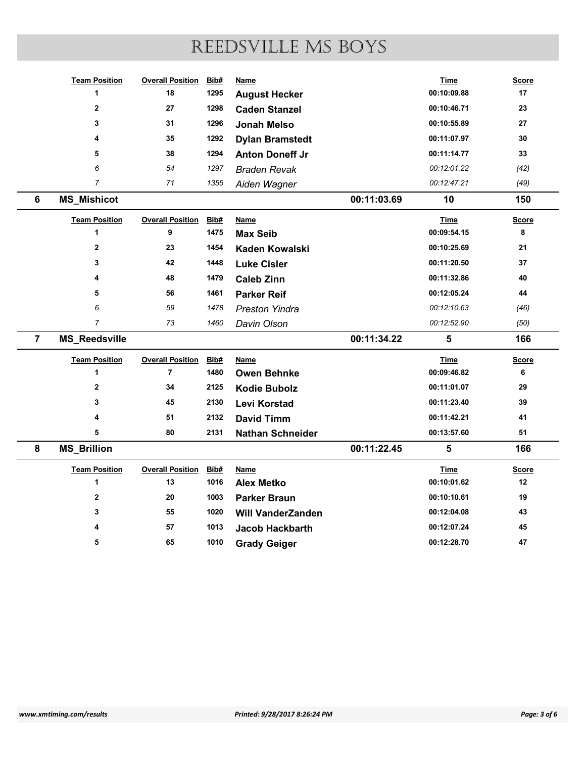|                |                            |                              |              | REEDSVILLE MS BOYS             |             |                            |                   |
|----------------|----------------------------|------------------------------|--------------|--------------------------------|-------------|----------------------------|-------------------|
|                |                            |                              |              |                                |             |                            |                   |
|                | <b>Team Position</b>       | <b>Overall Position Bib#</b> |              | <b>Name</b>                    |             | <b>Time</b>                | <b>Score</b>      |
|                | -1                         | 18                           | 1295         | <b>August Hecker</b>           |             | 00:10:09.88                | 17                |
|                | $\mathbf{2}$               | 27                           | 1298         | <b>Caden Stanzel</b>           |             | 00:10:46.71                | 23                |
|                | 3                          | 31                           | 1296         | <b>Jonah Melso</b>             |             | 00:10:55.89                | ${\bf 27}$        |
|                | 4                          | 35                           | 1292         | <b>Dylan Bramstedt</b>         |             | 00:11:07.97                | 30                |
|                | 5                          | 38                           | 1294         | <b>Anton Doneff Jr</b>         |             | 00:11:14.77                | 33                |
|                | 6                          | 54                           | 1297         | <b>Braden Revak</b>            |             | 00:12:01.22                | (42)              |
|                | $\overline{7}$             | 71                           | 1355         | Aiden Wagner                   |             | 00:12:47.21                | (49)              |
| 6              | <b>MS_Mishicot</b>         |                              |              |                                | 00:11:03.69 | 10                         | 150               |
|                |                            |                              |              |                                |             |                            |                   |
|                | <b>Team Position</b><br>-1 | <b>Overall Position</b><br>9 | Bib#<br>1475 | <b>Name</b><br><b>Max Seib</b> |             | <b>Time</b><br>00:09:54.15 | <b>Score</b><br>8 |
|                | $\mathbf{2}$               | 23                           | 1454         | <b>Kaden Kowalski</b>          |             | 00:10:25.69                | 21                |
|                | 3                          | 42                           | 1448         |                                |             | 00:11:20.50                | 37                |
|                | 4                          | 48                           | 1479         | <b>Luke Cisler</b>             |             | 00:11:32.86                | 40                |
|                |                            |                              |              | <b>Caleb Zinn</b>              |             | 00:12:05.24                |                   |
|                | 5                          | 56                           | 1461         | <b>Parker Reif</b>             |             |                            | 44                |
|                | 6                          | 59                           | 1478         | <b>Preston Yindra</b>          |             | 00:12:10.63                | (46)              |
|                | $\overline{7}$             | 73                           | 1460         | Davin Olson                    |             | 00:12:52.90                | (50)              |
| $\overline{7}$ | <b>MS_Reedsville</b>       |                              |              |                                | 00:11:34.22 | 5                          | 166               |
|                | <b>Team Position</b>       | <b>Overall Position</b>      | Bib#         | <b>Name</b>                    |             | <b>Time</b>                | <b>Score</b>      |
|                |                            | $\overline{7}$               | 1480         | <b>Owen Behnke</b>             |             | 00:09:46.82                | 6                 |
|                | $\mathbf{2}$               | 34                           | 2125         | <b>Kodie Bubolz</b>            |             | 00:11:01.07                | 29                |
|                | 3                          | 45                           | 2130         | Levi Korstad                   |             | 00:11:23.40                | 39                |
|                | 4                          | 51                           | 2132         | <b>David Timm</b>              |             | 00:11:42.21                | 41                |
|                | $\sqrt{5}$                 | 80                           | 2131         | <b>Nathan Schneider</b>        |             | 00:13:57.60                | ${\bf 51}$        |
| 8              | <b>MS_Brillion</b>         |                              |              |                                | 00:11:22.45 | 5                          | 166               |
|                | <b>Team Position</b>       | <b>Overall Position</b>      | Bib#         | <b>Name</b>                    |             | <b>Time</b>                | <b>Score</b>      |
|                | -1                         | 13                           | 1016         | <b>Alex Metko</b>              |             | 00:10:01.62                | $12$              |
|                | $\mathbf{2}$               | $20\,$                       | 1003         | <b>Parker Braun</b>            |             | 00:10:10.61                | 19                |
|                | 3                          | 55                           | 1020         | <b>Will VanderZanden</b>       |             | 00:12:04.08                | 43                |
|                |                            | 57                           | 1013         | Jacob Hackbarth                |             | 00:12:07.24                | 45                |
|                | 5                          | 65                           | 1010         | <b>Grady Geiger</b>            |             | 00:12:28.70                |                   |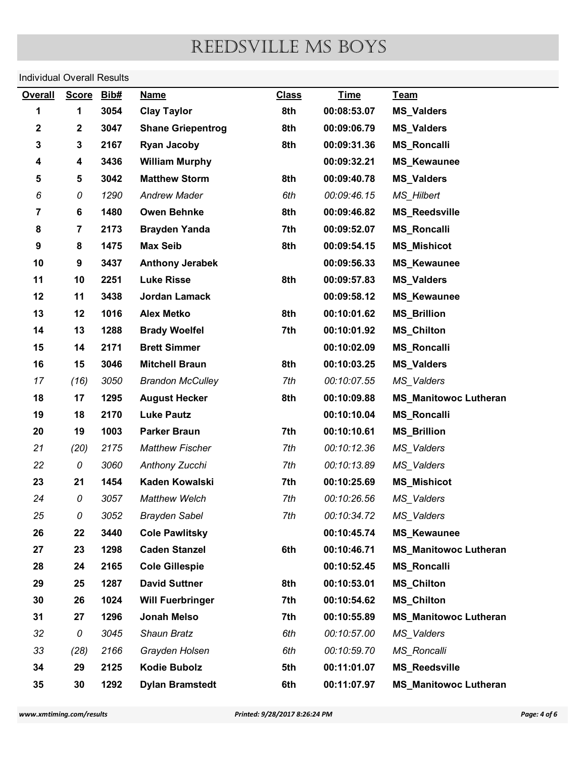| <b>Overall</b>      |                          | <b>Individual Overall Results</b> |                                            |                               |                            |                                            |              |
|---------------------|--------------------------|-----------------------------------|--------------------------------------------|-------------------------------|----------------------------|--------------------------------------------|--------------|
|                     | <b>Score</b>             | Bib#                              | <b>Name</b>                                | <b>Class</b>                  | <b>Time</b>                | Team                                       |              |
| 1                   | 1                        | 3054                              | <b>Clay Taylor</b>                         | 8th                           | 00:08:53.07                | <b>MS_Valders</b>                          |              |
| $\mathbf 2$         | $\boldsymbol{2}$         | 3047                              | <b>Shane Griepentrog</b>                   | 8th                           | 00:09:06.79                | <b>MS_Valders</b>                          |              |
| 3                   | 3                        | 2167                              | <b>Ryan Jacoby</b>                         | 8th                           | 00:09:31.36                | <b>MS_Roncalli</b>                         |              |
| 4                   | 4                        | 3436                              | <b>William Murphy</b>                      |                               | 00:09:32.21                | <b>MS_Kewaunee</b>                         |              |
| 5                   | 5                        | 3042                              | <b>Matthew Storm</b>                       | 8th                           | 00:09:40.78                | <b>MS_Valders</b>                          |              |
| 6<br>$\overline{7}$ | 0                        | 1290<br>1480                      | <b>Andrew Mader</b>                        | 6th                           | 00:09:46.15                | MS_Hilbert                                 |              |
| 8                   | 6<br>$\overline{7}$      | 2173                              | <b>Owen Behnke</b><br><b>Brayden Yanda</b> | 8th<br>7th                    | 00:09:46.82<br>00:09:52.07 | <b>MS_Reedsville</b><br><b>MS_Roncalli</b> |              |
| 9                   | 8                        | 1475                              | <b>Max Seib</b>                            | 8th                           | 00:09:54.15                | <b>MS_Mishicot</b>                         |              |
| 10                  | 9                        | 3437                              | <b>Anthony Jerabek</b>                     |                               | 00:09:56.33                | <b>MS_Kewaunee</b>                         |              |
| 11                  | 10                       | 2251                              | <b>Luke Risse</b>                          | 8th                           | 00:09:57.83                | <b>MS_Valders</b>                          |              |
| 12                  | 11                       | 3438                              | Jordan Lamack                              |                               | 00:09:58.12                | <b>MS_Kewaunee</b>                         |              |
| 13                  | 12                       | 1016                              | <b>Alex Metko</b>                          | 8th                           | 00:10:01.62                | <b>MS_Brillion</b>                         |              |
| 14                  | 13                       | 1288                              | <b>Brady Woelfel</b>                       | 7th                           | 00:10:01.92                | <b>MS_Chilton</b>                          |              |
| 15                  | 14                       | 2171                              | <b>Brett Simmer</b>                        |                               | 00:10:02.09                | <b>MS_Roncalli</b>                         |              |
| 16                  | 15                       | 3046                              | <b>Mitchell Braun</b>                      | 8th                           | 00:10:03.25                | <b>MS_Valders</b>                          |              |
| 17                  | (16)                     | 3050                              | <b>Brandon McCulley</b>                    | 7th                           | 00:10:07.55                | MS_Valders                                 |              |
| 18                  | 17                       | 1295                              | <b>August Hecker</b>                       | 8th                           | 00:10:09.88                | <b>MS_Manitowoc Lutheran</b>               |              |
| 19                  | 18                       | 2170                              | <b>Luke Pautz</b>                          |                               | 00:10:10.04                | <b>MS_Roncalli</b>                         |              |
| 20                  | 19                       | 1003                              | <b>Parker Braun</b>                        | 7th                           | 00:10:10.61                | <b>MS_Brillion</b>                         |              |
| 21                  | (20)                     | 2175                              | <b>Matthew Fischer</b>                     | 7th                           | 00:10:12.36                | MS_Valders                                 |              |
| 22                  | 0                        | 3060                              | Anthony Zucchi                             | 7th                           | 00:10:13.89                | MS_Valders                                 |              |
| 23                  | 21                       | 1454                              | Kaden Kowalski                             | 7th                           | 00:10:25.69                | <b>MS_Mishicot</b>                         |              |
| 24                  | 0                        | 3057                              | Matthew Welch                              | 7th                           | 00:10:26.56                | MS_Valders                                 |              |
| 25                  | 0                        | 3052                              | <b>Brayden Sabel</b>                       | 7th                           | 00:10:34.72                | MS_Valders                                 |              |
| 26                  | 22                       | 3440                              | <b>Cole Pawlitsky</b>                      |                               | 00:10:45.74                | <b>MS_Kewaunee</b>                         |              |
| 27                  | 23                       | 1298                              | <b>Caden Stanzel</b>                       | 6th                           | 00:10:46.71                | <b>MS_Manitowoc Lutheran</b>               |              |
| 28                  | 24                       | 2165                              | <b>Cole Gillespie</b>                      |                               | 00:10:52.45                | <b>MS_Roncalli</b>                         |              |
| 29                  | 25                       | 1287                              | <b>David Suttner</b>                       | 8th                           | 00:10:53.01                | <b>MS_Chilton</b>                          |              |
| 30                  | 26                       | 1024                              | <b>Will Fuerbringer</b>                    | 7th                           | 00:10:54.62                | <b>MS_Chilton</b>                          |              |
| 31                  | 27                       | 1296                              | <b>Jonah Melso</b>                         | 7th                           | 00:10:55.89                | <b>MS_Manitowoc Lutheran</b>               |              |
| 32                  | 0                        | 3045                              | Shaun Bratz                                | 6th                           | 00:10:57.00                | MS_Valders                                 |              |
| 33                  | (28)                     | 2166                              | Grayden Holsen                             | 6th                           | 00:10:59.70                | <b>MS_Roncalli</b>                         |              |
| 34                  | 29                       | 2125                              | <b>Kodie Bubolz</b>                        | 5th                           | 00:11:01.07                | <b>MS_Reedsville</b>                       |              |
| 35                  | 30                       | 1292                              | <b>Dylan Bramstedt</b>                     | 6th                           | 00:11:07.97                | <b>MS_Manitowoc Lutheran</b>               |              |
|                     | www.xmtiming.com/results |                                   |                                            | Printed: 9/28/2017 8:26:24 PM |                            |                                            | Page: 4 of 6 |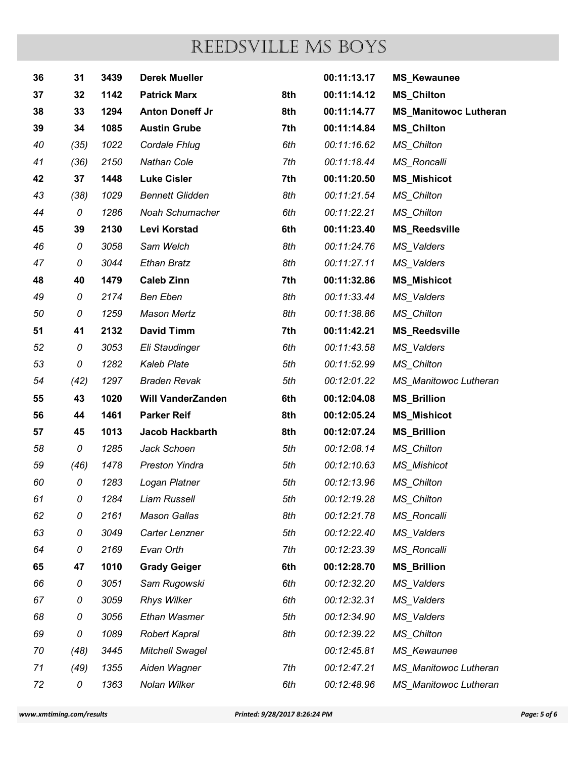|          |          |              |                                                |            | REEDSVILLE MS BOYS         |                                          |
|----------|----------|--------------|------------------------------------------------|------------|----------------------------|------------------------------------------|
| 36       | 31       | 3439         | <b>Derek Mueller</b>                           |            | 00:11:13.17                | <b>MS_Kewaunee</b>                       |
| 37       | 32       | 1142         | <b>Patrick Marx</b>                            | 8th        | 00:11:14.12                | <b>MS_Chilton</b>                        |
| 38       | 33       | 1294         | <b>Anton Doneff Jr</b>                         | 8th        | 00:11:14.77                | <b>MS_Manitowoc Lutheran</b>             |
| 39       | 34       | 1085         | <b>Austin Grube</b>                            | 7th        | 00:11:14.84                | <b>MS_Chilton</b>                        |
| 40       | (35)     | 1022         | Cordale Fhlug                                  | 6th        | 00:11:16.62                | MS_Chilton                               |
| 41       | (36)     | 2150         | <b>Nathan Cole</b>                             | 7th        | 00:11:18.44                | <b>MS_Roncalli</b>                       |
| 42       | 37       | 1448         | <b>Luke Cisler</b>                             | 7th        | 00:11:20.50                | <b>MS_Mishicot</b>                       |
| 43       | (38)     | 1029         | <b>Bennett Glidden</b>                         | 8th        | 00:11:21.54                | MS_Chilton                               |
| 44       | 0        | 1286         | Noah Schumacher                                | 6th        | 00:11:22.21                | MS_Chilton                               |
| 45       | 39       | 2130         | Levi Korstad                                   | 6th        | 00:11:23.40                | <b>MS_Reedsville</b>                     |
| 46       | 0        | 3058         | Sam Welch                                      | 8th        | 00:11:24.76                | MS_Valders                               |
| 47       | 0        | 3044         | <b>Ethan Bratz</b>                             | 8th        | 00:11:27.11                | MS_Valders                               |
| 48       | 40       | 1479         | <b>Caleb Zinn</b>                              | 7th        | 00:11:32.86                | <b>MS_Mishicot</b>                       |
| 49       | 0        | 2174         | <b>Ben Eben</b>                                | 8th        | 00:11:33.44                | MS_Valders                               |
| 50       | 0        | 1259         | <b>Mason Mertz</b>                             | 8th        | 00:11:38.86                | MS_Chilton                               |
| 51       | 41       | 2132         | <b>David Timm</b>                              | 7th        | 00:11:42.21                | <b>MS_Reedsville</b>                     |
| 52       | 0        | 3053         | Eli Staudinger                                 | 6th        | 00:11:43.58                | MS_Valders                               |
| 53       | 0        | 1282         | <b>Kaleb Plate</b><br><b>Braden Revak</b>      | 5th<br>5th | 00:11:52.99                | MS_Chilton                               |
| 54       | (42)     | 1297         |                                                |            | 00:12:01.22                | MS_Manitowoc Lutheran                    |
| 55<br>56 | 43<br>44 | 1020<br>1461 | <b>Will VanderZanden</b><br><b>Parker Reif</b> | 6th<br>8th | 00:12:04.08<br>00:12:05.24 | <b>MS_Brillion</b>                       |
| 57       | 45       | 1013         | Jacob Hackbarth                                | 8th        | 00:12:07.24                | <b>MS_Mishicot</b><br><b>MS_Brillion</b> |
| 58       | 0        | 1285         | Jack Schoen                                    | 5th        | 00:12:08.14                | <b>MS_Chilton</b>                        |
| 59       | (46)     | 1478         | <b>Preston Yindra</b>                          | 5th        | 00:12:10.63                | <b>MS_Mishicot</b>                       |
| 60       |          | 1283         | Logan Platner                                  | 5th        | 00:12:13.96                | <b>MS_Chilton</b>                        |
| 61       | 0<br>0   | 1284         | Liam Russell                                   | 5th        | 00:12:19.28                | MS_Chilton                               |
| 62       | 0        | 2161         | <b>Mason Gallas</b>                            | 8th        | 00:12:21.78                | MS_Roncalli                              |
| 63       | 0        | 3049         | Carter Lenzner                                 | 5th        | 00:12:22.40                | MS_Valders                               |
| 64       | 0        | 2169         | Evan Orth                                      | 7th        | 00:12:23.39                | MS_Roncalli                              |
| 65       | 47       | 1010         | <b>Grady Geiger</b>                            | 6th        | 00:12:28.70                | <b>MS_Brillion</b>                       |
| 66       | 0        | 3051         | Sam Rugowski                                   | 6th        | 00:12:32.20                | MS_Valders                               |
| 67       | 0        | 3059         | <b>Rhys Wilker</b>                             | 6th        | 00:12:32.31                | MS_Valders                               |
| 68       | 0        | 3056         | Ethan Wasmer                                   | 5th        | 00:12:34.90                | MS_Valders                               |
| 69       | 0        | 1089         | <b>Robert Kapral</b>                           | 8th        | 00:12:39.22                | MS_Chilton                               |
| 70       | (48)     | 3445         | <b>Mitchell Swagel</b>                         |            | 00:12:45.81                | MS_Kewaunee                              |
| 71       | (49)     | 1355         | Aiden Wagner                                   | 7th        | 00:12:47.21                | MS_Manitowoc Lutheran                    |
| 72       | 0        | 1363         | Nolan Wilker                                   | 6th        | 00:12:48.96                | <b>MS</b> Manitowoc Lutheran             |
|          |          |              |                                                |            |                            |                                          |